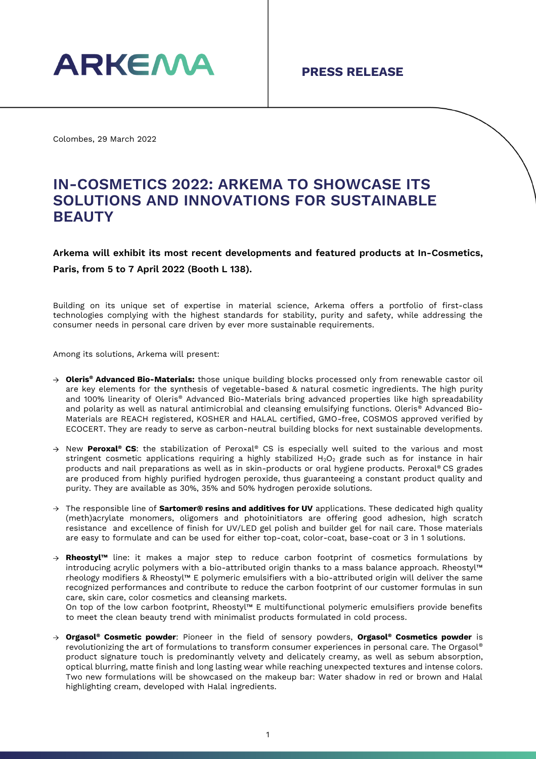

Colombes, 29 March 2022

## **IN-COSMETICS 2022: ARKEMA TO SHOWCASE ITS SOLUTIONS AND INNOVATIONS FOR SUSTAINABLE BEAUTY**

## **Arkema will exhibit its most recent developments and featured products at In-Cosmetics, Paris, from 5 to 7 April 2022 (Booth L 138).**

Building on its unique set of expertise in material science, Arkema offers a portfolio of first-class technologies complying with the highest standards for stability, purity and safety, while addressing the consumer needs in personal care driven by ever more sustainable requirements.

Among its solutions, Arkema will present:

- **Oleris® Advanced Bio-Materials:** those unique building blocks processed only from renewable castor oil are key elements for the synthesis of vegetable-based & natural cosmetic ingredients. The high purity and 100% linearity of Oleris® Advanced Bio-Materials bring advanced properties like high spreadability and polarity as well as natural antimicrobial and cleansing emulsifying functions. Oleris® Advanced Bio-Materials are REACH registered, KOSHER and HALAL certified, GMO-free, COSMOS approved verified by ECOCERT. They are ready to serve as carbon-neutral building blocks for next sustainable developments.
- → New Peroxal® CS: the stabilization of Peroxal® CS is especially well suited to the various and most stringent cosmetic applications requiring a highly stabilized  $H_2O_2$  grade such as for instance in hair products and nail preparations as well as in skin-products or oral hygiene products. Peroxal® CS grades are produced from highly purified hydrogen peroxide, thus guaranteeing a constant product quality and purity. They are available as 30%, 35% and 50% hydrogen peroxide solutions.
- → The responsible line of **Sartomer® resins and additives for UV** applications. These dedicated high quality (meth)acrylate monomers, oligomers and photoinitiators are offering good adhesion, high scratch resistance and excellence of finish for UV/LED gel polish and builder gel for nail care. Those materials are easy to formulate and can be used for either top-coat, color-coat, base-coat or 3 in 1 solutions.
- **Rheostyl™** line: it makes a major step to reduce carbon footprint of cosmetics formulations by introducing acrylic polymers with a bio-attributed origin thanks to a mass balance approach. Rheostyl™ rheology modifiers & Rheostyl™ E polymeric emulsifiers with a bio-attributed origin will deliver the same recognized performances and contribute to reduce the carbon footprint of our customer formulas in sun care, skin care, color cosmetics and cleansing markets.

On top of the low carbon footprint, Rheostyl™ E multifunctional polymeric emulsifiers provide benefits to meet the clean beauty trend with minimalist products formulated in cold process.

**Orgasol® Cosmetic powder**: Pioneer in the field of sensory powders, **Orgasol® Cosmetics powder** is revolutionizing the art of formulations to transform consumer experiences in personal care. The Orgasol® product signature touch is predominantly velvety and delicately creamy, as well as sebum absorption, optical blurring, matte finish and long lasting wear while reaching unexpected textures and intense colors. Two new formulations will be showcased on the makeup bar: Water shadow in red or brown and Halal highlighting cream, developed with Halal ingredients.